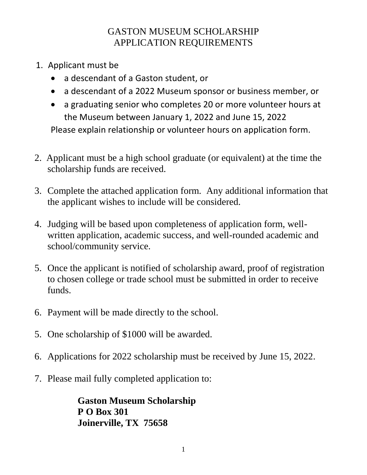## GASTON MUSEUM SCHOLARSHIP APPLICATION REQUIREMENTS

- 1. Applicant must be
	- a descendant of a Gaston student, or
	- a descendant of a 2022 Museum sponsor or business member, or
	- a graduating senior who completes 20 or more volunteer hours at the Museum between January 1, 2022 and June 15, 2022

Please explain relationship or volunteer hours on application form.

- 2. Applicant must be a high school graduate (or equivalent) at the time the scholarship funds are received.
- 3. Complete the attached application form. Any additional information that the applicant wishes to include will be considered.
- 4. Judging will be based upon completeness of application form, wellwritten application, academic success, and well-rounded academic and school/community service.
- 5. Once the applicant is notified of scholarship award, proof of registration to chosen college or trade school must be submitted in order to receive funds.
- 6. Payment will be made directly to the school.
- 5. One scholarship of \$1000 will be awarded.
- 6. Applications for 2022 scholarship must be received by June 15, 2022.
- 7. Please mail fully completed application to:

**Gaston Museum Scholarship P O Box 301 Joinerville, TX 75658**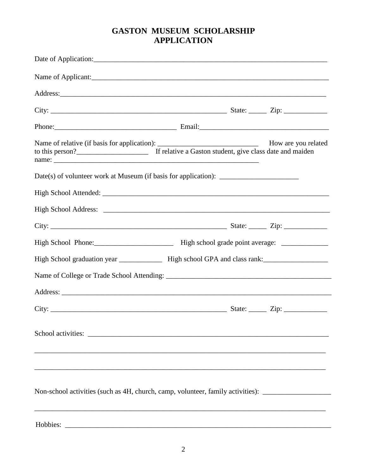## **GASTON MUSEUM SCHOLARSHIP APPLICATION**

| Non-school activities (such as 4H, church, camp, volunteer, family activities): ___________________ |  |
|-----------------------------------------------------------------------------------------------------|--|
|                                                                                                     |  |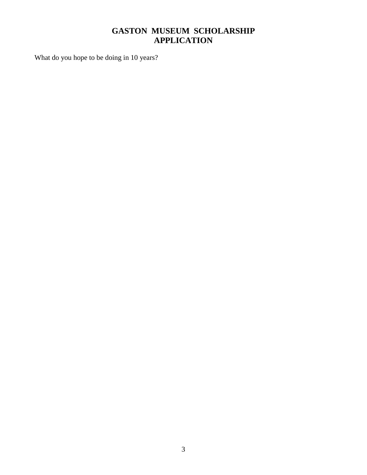## **GASTON MUSEUM SCHOLARSHIP APPLICATION**

What do you hope to be doing in 10 years?